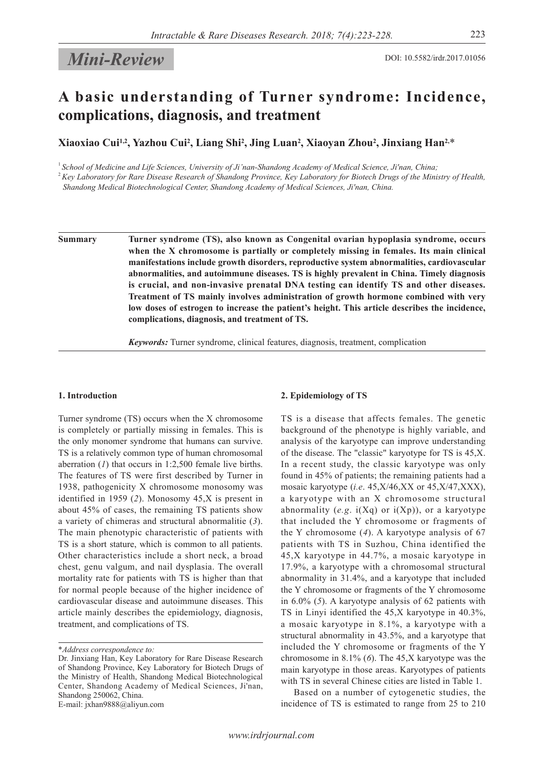# *Mini-Review* DOI: 10.5582/irdr.2017.01056

# **A basic understanding of Turner syndrome: Incidence, complications, diagnosis, and treatment**

**Xiaoxiao Cui1,2, Yazhou Cui2 , Liang Shi2 , Jing Luan2 , Xiaoyan Zhou2 , Jinxiang Han2,**\*

<sup>1</sup>*School of Medicine and Life Sciences, University of Ji'nan-Shandong Academy of Medical Science, Ji'nan, China;*

<sup>2</sup>*Key Laboratory for Rare Disease Research of Shandong Province, Key Laboratory for Biotech Drugs of the Ministry of Health, Shandong Medical Biotechnological Center, Shandong Academy of Medical Sciences, Ji'nan, China.*

**Summary Turner syndrome (TS), also known as Congenital ovarian hypoplasia syndrome, occurs when the X chromosome is partially or completely missing in females. Its main clinical manifestations include growth disorders, reproductive system abnormalities, cardiovascular abnormalities, and autoimmune diseases. TS is highly prevalent in China. Timely diagnosis is crucial, and non-invasive prenatal DNA testing can identify TS and other diseases. Treatment of TS mainly involves administration of growth hormone combined with very low doses of estrogen to increase the patient's height. This article describes the incidence, complications, diagnosis, and treatment of TS.**

*Keywords:* Turner syndrome, clinical features, diagnosis, treatment, complication

# **1. Introduction**

Turner syndrome (TS) occurs when the X chromosome is completely or partially missing in females. This is the only monomer syndrome that humans can survive. TS is a relatively common type of human chromosomal aberration (*1*) that occurs in 1:2,500 female live births. The features of TS were first described by Turner in 1938, pathogenicity X chromosome monosomy was identified in 1959 (*2*). Monosomy 45,X is present in about 45% of cases, the remaining TS patients show a variety of chimeras and structural abnormalitie (*3*). The main phenotypic characteristic of patients with TS is a short stature, which is common to all patients. Other characteristics include a short neck, a broad chest, genu valgum, and nail dysplasia. The overall mortality rate for patients with TS is higher than that for normal people because of the higher incidence of cardiovascular disease and autoimmune diseases. This article mainly describes the epidemiology, diagnosis, treatment, and complications of TS.

#### **2. Epidemiology of TS**

TS is a disease that affects females. The genetic background of the phenotype is highly variable, and analysis of the karyotype can improve understanding of the disease. The "classic" karyotype for TS is 45,X. In a recent study, the classic karyotype was only found in 45% of patients; the remaining patients had a mosaic karyotype (*i.e*. 45,X/46,XX or 45,X/47,XXX), a karyotype with an X chromosome structural abnormality  $(e.g. i(Xq)$  or  $i(Xp)$ ), or a karyotype that included the Y chromosome or fragments of the Y chromosome (*4*). A karyotype analysis of 67 patients with TS in Suzhou, China identified the 45,X karyotype in 44.7%, a mosaic karyotype in 17.9%, a karyotype with a chromosomal structural abnormality in 31.4%, and a karyotype that included the Y chromosome or fragments of the Y chromosome in 6.0% (*5*). A karyotype analysis of 62 patients with TS in Linyi identified the 45,X karyotype in 40.3%, a mosaic karyotype in 8.1%, a karyotype with a structural abnormality in 43.5%, and a karyotype that included the Y chromosome or fragments of the Y chromosome in 8.1% (*6*). The 45,X karyotype was the main karyotype in those areas. Karyotypes of patients with TS in several Chinese cities are listed in Table 1.

Based on a number of cytogenetic studies, the incidence of TS is estimated to range from 25 to 210

<sup>\*</sup>*Address correspondence to:*

Dr. Jinxiang Han, Key Laboratory for Rare Disease Research of Shandong Province, Key Laboratory for Biotech Drugs of the Ministry of Health, Shandong Medical Biotechnological Center, Shandong Academy of Medical Sciences, Ji'nan, Shandong 250062, China.

E-mail: jxhan9888@aliyun.com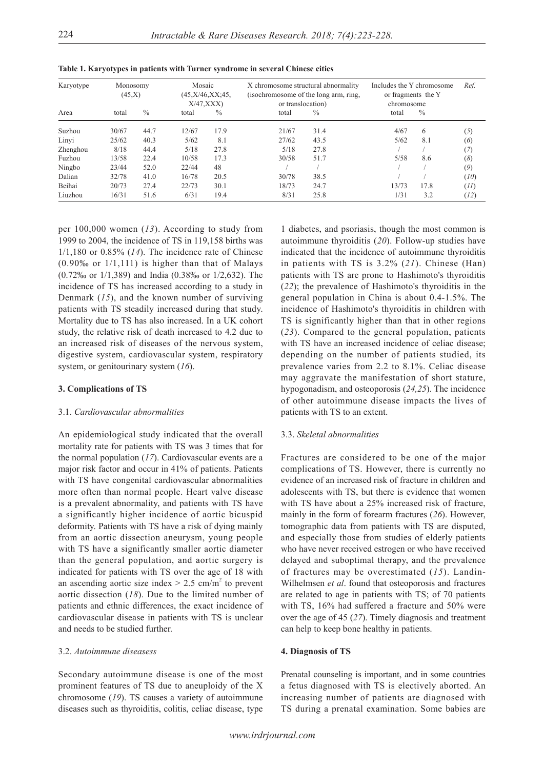| Karyotype | Monosomy<br>(45,X) |               | Mosaic<br>(45, X/46, XX; 45,<br>X/47, XXX |      | X chromosome structural abnormality<br>(isochromosome of the long arm, ring,<br>or translocation) |               | Includes the Y chromosome<br>or fragments the Y<br>chromosome |               | Ref. |
|-----------|--------------------|---------------|-------------------------------------------|------|---------------------------------------------------------------------------------------------------|---------------|---------------------------------------------------------------|---------------|------|
| Area      | total              | $\frac{0}{0}$ | total                                     | $\%$ | total                                                                                             | $\frac{0}{0}$ | total                                                         | $\frac{0}{0}$ |      |
| Suzhou    | 30/67              | 44.7          | 12/67                                     | 17.9 | 21/67                                                                                             | 31.4          | 4/67                                                          | 6             | (5)  |
| Linyi     | 25/62              | 40.3          | 5/62                                      | 8.1  | 27/62                                                                                             | 43.5          | 5/62                                                          | 8.1           | (6)  |
| Zhenghou  | 8/18               | 44.4          | 5/18                                      | 27.8 | 5/18                                                                                              | 27.8          |                                                               |               | (7)  |
| Fuzhou    | 13/58              | 22.4          | 10/58                                     | 17.3 | 30/58                                                                                             | 51.7          | 5/58                                                          | 8.6           | (8)  |
| Ningbo    | 23/44              | 52.0          | 22/44                                     | 48   |                                                                                                   |               |                                                               |               | (9)  |
| Dalian    | 32/78              | 41.0          | 16/78                                     | 20.5 | 30/78                                                                                             | 38.5          |                                                               |               | (10) |
| Beihai    | 20/73              | 27.4          | 22/73                                     | 30.1 | 18/73                                                                                             | 24.7          | 13/73                                                         | 17.8          | (II) |

8/31 25.8

**Table 1. Karyotypes in patients with Turner syndrome in several Chinese cities**

6/31 19.4

per 100,000 women (*13*). According to study from 1999 to 2004, the incidence of TS in 119,158 births was 1/1,180 or 0.85% (*14*). The incidence rate of Chinese  $(0.90\%$  or  $1/1,111)$  is higher than that of Malays (0.72‰ or 1/1,389) and India (0.38‰ or 1/2,632). The incidence of TS has increased according to a study in Denmark (*15*), and the known number of surviving patients with TS steadily increased during that study. Mortality due to TS has also increased. In a UK cohort study, the relative risk of death increased to 4.2 due to an increased risk of diseases of the nervous system, digestive system, cardiovascular system, respiratory system, or genitourinary system (*16*).

16/31 51.6

### **3. Complications of TS**

#### 3.1. *Cardiovascular abnormalities*

An epidemiological study indicated that the overall mortality rate for patients with TS was 3 times that for the normal population (*17*). Cardiovascular events are a major risk factor and occur in 41% of patients. Patients with TS have congenital cardiovascular abnormalities more often than normal people. Heart valve disease is a prevalent abnormality, and patients with TS have a significantly higher incidence of aortic bicuspid deformity. Patients with TS have a risk of dying mainly from an aortic dissection aneurysm, young people with TS have a significantly smaller aortic diameter than the general population, and aortic surgery is indicated for patients with TS over the age of 18 with an ascending aortic size index  $> 2.5$  cm/m<sup>2</sup> to prevent aortic dissection (*18*). Due to the limited number of patients and ethnic differences, the exact incidence of cardiovascular disease in patients with TS is unclear and needs to be studied further.

# 3.2. *Autoimmune diseasess*

Secondary autoimmune disease is one of the most prominent features of TS due to aneuploidy of the X chromosome (*19*). TS causes a variety of autoimmune diseases such as thyroiditis, colitis, celiac disease, type

1 diabetes, and psoriasis, though the most common is autoimmune thyroiditis (*20*). Follow-up studies have indicated that the incidence of autoimmune thyroiditis in patients with TS is 3.2% (*21*). Chinese (Han) patients with TS are prone to Hashimoto's thyroiditis (*22*); the prevalence of Hashimoto's thyroiditis in the general population in China is about 0.4-1.5%. The incidence of Hashimoto's thyroiditis in children with TS is significantly higher than that in other regions (*23*). Compared to the general population, patients with TS have an increased incidence of celiac disease; depending on the number of patients studied, its prevalence varies from 2.2 to 8.1%. Celiac disease may aggravate the manifestation of short stature, hypogonadism, and osteoporosis (*24,25*). The incidence of other autoimmune disease impacts the lives of patients with TS to an extent.

1/31 3.2

(*12*)

#### 3.3. *Skeletal abnormalities*

Fractures are considered to be one of the major complications of TS. However, there is currently no evidence of an increased risk of fracture in children and adolescents with TS, but there is evidence that women with TS have about a 25% increased risk of fracture, mainly in the form of forearm fractures (*26*). However, tomographic data from patients with TS are disputed, and especially those from studies of elderly patients who have never received estrogen or who have received delayed and suboptimal therapy, and the prevalence of fractures may be overestimated (*15*). Landin-Wilhelmsen *et al*. found that osteoporosis and fractures are related to age in patients with TS; of 70 patients with TS, 16% had suffered a fracture and 50% were over the age of 45 (*27*). Timely diagnosis and treatment can help to keep bone healthy in patients.

#### **4. Diagnosis of TS**

Prenatal counseling is important, and in some countries a fetus diagnosed with TS is electively aborted. An increasing number of patients are diagnosed with TS during a prenatal examination. Some babies are

Liuzhou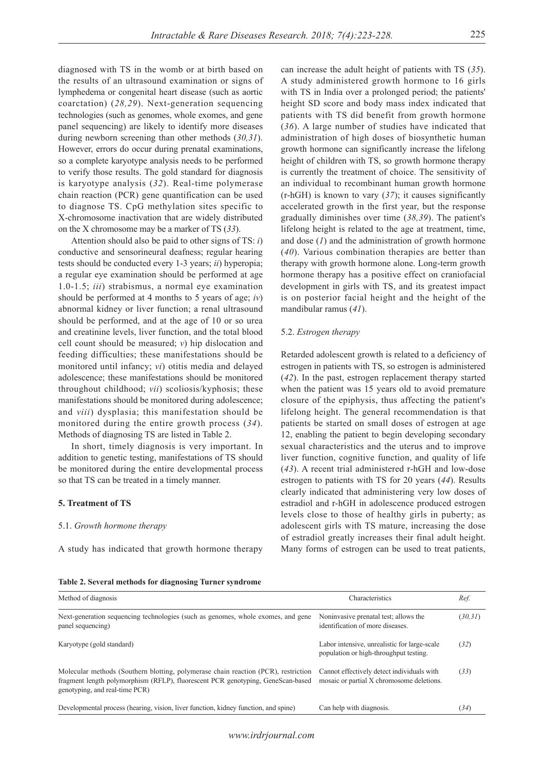diagnosed with TS in the womb or at birth based on the results of an ultrasound examination or signs of lymphedema or congenital heart disease (such as aortic coarctation) (*28,29*). Next-generation sequencing technologies (such as genomes, whole exomes, and gene panel sequencing) are likely to identify more diseases during newborn screening than other methods (*30,31*). However, errors do occur during prenatal examinations, so a complete karyotype analysis needs to be performed to verify those results. The gold standard for diagnosis is karyotype analysis (*32*). Real-time polymerase chain reaction (PCR) gene quantification can be used to diagnose TS. CpG methylation sites specific to X-chromosome inactivation that are widely distributed on the X chromosome may be a marker of TS (*33*).

Attention should also be paid to other signs of TS: *i*) conductive and sensorineural deafness; regular hearing tests should be conducted every 1-3 years; *ii*) hyperopia; a regular eye examination should be performed at age 1.0-1.5; *iii*) strabismus, a normal eye examination should be performed at 4 months to 5 years of age; *iv*) abnormal kidney or liver function; a renal ultrasound should be performed, and at the age of 10 or so urea and creatinine levels, liver function, and the total blood cell count should be measured; *v*) hip dislocation and feeding difficulties; these manifestations should be monitored until infancy; *vi*) otitis media and delayed adolescence; these manifestations should be monitored throughout childhood; *vii*) scoliosis/kyphosis; these manifestations should be monitored during adolescence; and *viii*) dysplasia; this manifestation should be monitored during the entire growth process (*34*). Methods of diagnosing TS are listed in Table 2.

In short, timely diagnosis is very important. In addition to genetic testing, manifestations of TS should be monitored during the entire developmental process so that TS can be treated in a timely manner.

#### **5. Treatment of TS**

#### 5.1. *Growth hormone therapy*

A study has indicated that growth hormone therapy

can increase the adult height of patients with TS (*35*). A study administered growth hormone to 16 girls with TS in India over a prolonged period; the patients' height SD score and body mass index indicated that patients with TS did benefit from growth hormone (*36*). A large number of studies have indicated that administration of high doses of biosynthetic human growth hormone can significantly increase the lifelong height of children with TS, so growth hormone therapy is currently the treatment of choice. The sensitivity of an individual to recombinant human growth hormone (r-hGH) is known to vary (*37*); it causes significantly accelerated growth in the first year, but the response gradually diminishes over time (*38,39*). The patient's lifelong height is related to the age at treatment, time, and dose (*1*) and the administration of growth hormone (*40*). Various combination therapies are better than therapy with growth hormone alone. Long-term growth hormone therapy has a positive effect on craniofacial development in girls with TS, and its greatest impact is on posterior facial height and the height of the mandibular ramus (*41*).

#### 5.2. *Estrogen therapy*

Retarded adolescent growth is related to a deficiency of estrogen in patients with TS, so estrogen is administered (*42*). In the past, estrogen replacement therapy started when the patient was 15 years old to avoid premature closure of the epiphysis, thus affecting the patient's lifelong height. The general recommendation is that patients be started on small doses of estrogen at age 12, enabling the patient to begin developing secondary sexual characteristics and the uterus and to improve liver function, cognitive function, and quality of life (*43*). A recent trial administered r-hGH and low-dose estrogen to patients with TS for 20 years (*44*). Results clearly indicated that administering very low doses of estradiol and r-hGH in adolescence produced estrogen levels close to those of healthy girls in puberty; as adolescent girls with TS mature, increasing the dose of estradiol greatly increases their final adult height. Many forms of estrogen can be used to treat patients,

| Table 2. Several methods for diagnosing Turner syndrome |  |  |  |  |  |  |  |
|---------------------------------------------------------|--|--|--|--|--|--|--|
|---------------------------------------------------------|--|--|--|--|--|--|--|

| Method of diagnosis                                                                                                                                                                                     | Characteristics                                                                         | Ref.    |
|---------------------------------------------------------------------------------------------------------------------------------------------------------------------------------------------------------|-----------------------------------------------------------------------------------------|---------|
| Next-generation sequencing technologies (such as genomes, whole exomes, and gene<br>panel sequencing)                                                                                                   | Noninvasive prenatal test; allows the<br>identification of more diseases.               | (30,31) |
| Karyotype (gold standard)                                                                                                                                                                               | Labor intensive, unrealistic for large-scale<br>population or high-throughput testing.  | (32)    |
| Molecular methods (Southern blotting, polymerase chain reaction (PCR), restriction<br>fragment length polymorphism (RFLP), fluorescent PCR genotyping, GeneScan-based<br>genotyping, and real-time PCR) | Cannot effectively detect individuals with<br>mosaic or partial X chromosome deletions. | (33)    |
| Developmental process (hearing, vision, liver function, kidney function, and spine)                                                                                                                     | Can help with diagnosis.                                                                | (34)    |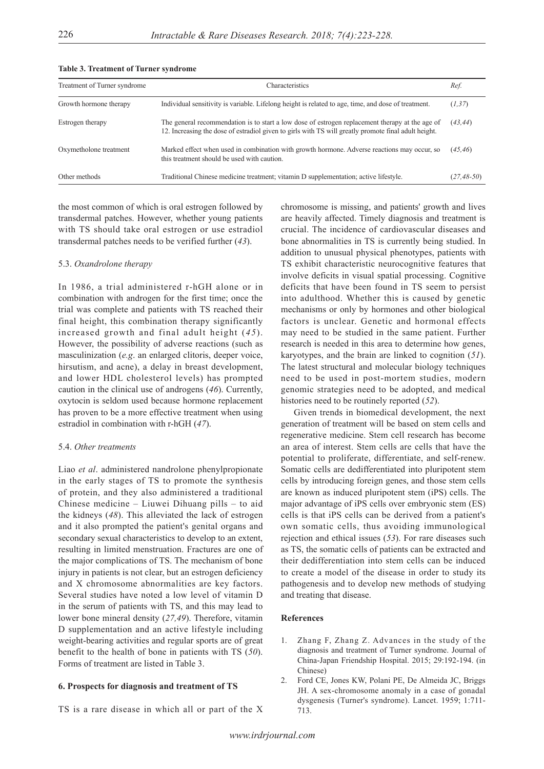| Treatment of Turner syndrome | Characteristics                                                                                                                                                                                         | Ref.            |
|------------------------------|---------------------------------------------------------------------------------------------------------------------------------------------------------------------------------------------------------|-----------------|
| Growth hormone therapy       | Individual sensitivity is variable. Lifelong height is related to age, time, and dose of treatment.                                                                                                     | (1,37)          |
| Estrogen therapy             | The general recommendation is to start a low dose of estrogen replacement therapy at the age of<br>12. Increasing the dose of estradiol given to girls with TS will greatly promote final adult height. | (43, 44)        |
| Oxymetholone treatment       | Marked effect when used in combination with growth hormone. Adverse reactions may occur, so<br>this treatment should be used with caution.                                                              | (45, 46)        |
| Other methods                | Traditional Chinese medicine treatment; vitamin D supplementation; active lifestyle.                                                                                                                    | $(27, 48 - 50)$ |

**Table 3. Treatment of Turner syndrome**

the most common of which is oral estrogen followed by transdermal patches. However, whether young patients with TS should take oral estrogen or use estradiol transdermal patches needs to be verified further (*43*).

# 5.3. *Oxandrolone therapy*

In 1986, a trial administered r-hGH alone or in combination with androgen for the first time; once the trial was complete and patients with TS reached their final height, this combination therapy significantly increased growth and final adult height (*45*). However, the possibility of adverse reactions (such as masculinization (*e.g*. an enlarged clitoris, deeper voice, hirsutism, and acne), a delay in breast development, and lower HDL cholesterol levels) has prompted caution in the clinical use of androgens (*46*). Currently, oxytocin is seldom used because hormone replacement has proven to be a more effective treatment when using estradiol in combination with r-hGH (*47*).

#### 5.4. *Other treatments*

Liao *et al*. administered nandrolone phenylpropionate in the early stages of TS to promote the synthesis of protein, and they also administered a traditional Chinese medicine – Liuwei Dihuang pills – to aid the kidneys (*48*). This alleviated the lack of estrogen and it also prompted the patient's genital organs and secondary sexual characteristics to develop to an extent, resulting in limited menstruation. Fractures are one of the major complications of TS. The mechanism of bone injury in patients is not clear, but an estrogen deficiency and X chromosome abnormalities are key factors. Several studies have noted a low level of vitamin D in the serum of patients with TS, and this may lead to lower bone mineral density (*27,49*). Therefore, vitamin D supplementation and an active lifestyle including weight-bearing activities and regular sports are of great benefit to the health of bone in patients with TS (*50*). Forms of treatment are listed in Table 3.

# **6. Prospects for diagnosis and treatment of TS**

TS is a rare disease in which all or part of the X

chromosome is missing, and patients' growth and lives are heavily affected. Timely diagnosis and treatment is crucial. The incidence of cardiovascular diseases and bone abnormalities in TS is currently being studied. In addition to unusual physical phenotypes, patients with TS exhibit characteristic neurocognitive features that involve deficits in visual spatial processing. Cognitive deficits that have been found in TS seem to persist into adulthood. Whether this is caused by genetic mechanisms or only by hormones and other biological factors is unclear. Genetic and hormonal effects may need to be studied in the same patient. Further research is needed in this area to determine how genes, karyotypes, and the brain are linked to cognition (*51*). The latest structural and molecular biology techniques need to be used in post-mortem studies, modern genomic strategies need to be adopted, and medical histories need to be routinely reported (*52*).

Given trends in biomedical development, the next generation of treatment will be based on stem cells and regenerative medicine. Stem cell research has become an area of interest. Stem cells are cells that have the potential to proliferate, differentiate, and self-renew. Somatic cells are dedifferentiated into pluripotent stem cells by introducing foreign genes, and those stem cells are known as induced pluripotent stem (iPS) cells. The major advantage of iPS cells over embryonic stem (ES) cells is that iPS cells can be derived from a patient's own somatic cells, thus avoiding immunological rejection and ethical issues (*53*). For rare diseases such as TS, the somatic cells of patients can be extracted and their dedifferentiation into stem cells can be induced to create a model of the disease in order to study its pathogenesis and to develop new methods of studying and treating that disease.

### **References**

- Zhang F, Zhang Z. Advances in the study of the diagnosis and treatment of Turner syndrome. Journal of China-Japan Friendship Hospital. 2015; 29:192-194. (in Chinese)
- 2. Ford CE, Jones KW, Polani PE, De Almeida JC, Briggs JH. A sex-chromosome anomaly in a case of gonadal dysgenesis (Turner's syndrome). Lancet. 1959; 1:711- 713.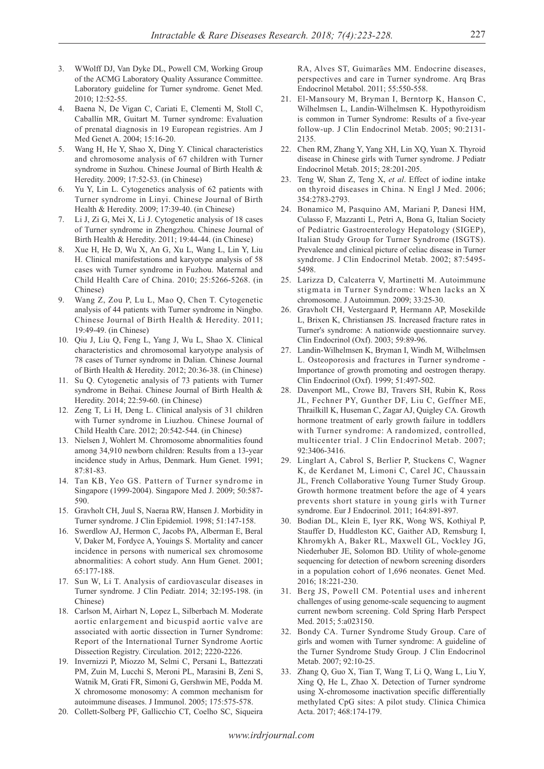- 3. WWolff DJ, Van Dyke DL, Powell CM, Working Group of the ACMG Laboratory Quality Assurance Committee. Laboratory guideline for Turner syndrome. Genet Med. 2010; 12:52-55.
- 4. Baena N, De Vigan C, Cariati E, Clementi M, Stoll C, Caballín MR, Guitart M. Turner syndrome: Evaluation of prenatal diagnosis in 19 European registries. Am J Med Genet A. 2004; 15:16-20.
- 5. Wang H, He Y, Shao X, Ding Y. Clinical characteristics and chromosome analysis of 67 children with Turner syndrome in Suzhou. Chinese Journal of Birth Health & Heredity. 2009; 17:52-53. (in Chinese)
- 6. Yu Y, Lin L. Cytogenetics analysis of 62 patients with Turner syndrome in Linyi. Chinese Journal of Birth Health & Heredity. 2009; 17:39-40. (in Chinese)
- 7. Li J, Zi G, Mei X, Li J. Cytogenetic analysis of 18 cases of Turner syndrome in Zhengzhou. Chinese Journal of Birth Health & Heredity. 2011; 19:44-44. (in Chinese)
- 8. Xue H, He D, Wu X, An G, Xu L, Wang L, Lin Y, Liu H. Clinical manifestations and karyotype analysis of 58 cases with Turner syndrome in Fuzhou. Maternal and Child Health Care of China. 2010; 25:5266-5268. (in Chinese)
- 9. Wang Z, Zou P, Lu L, Mao Q, Chen T. Cytogenetic analysis of 44 patients with Turner syndrome in Ningbo. Chinese Journal of Birth Health & Heredity. 2011; 19:49-49. (in Chinese)
- 10. Qiu J, Liu Q, Feng L, Yang J, Wu L, Shao X. Clinical characteristics and chromosomal karyotype analysis of 78 cases of Turner syndrome in Dalian. Chinese Journal of Birth Health & Heredity. 2012; 20:36-38. (in Chinese)
- 11. Su Q. Cytogenetic analysis of 73 patients with Turner syndrome in Beihai. Chinese Journal of Birth Health & Heredity. 2014; 22:59-60. (in Chinese)
- 12. Zeng T, Li H, Deng L. Clinical analysis of 31 children with Turner syndrome in Liuzhou. Chinese Journal of Child Health Care. 2012; 20:542-544. (in Chinese)
- 13. Nielsen J, Wohlert M. Chromosome abnormalities found among 34,910 newborn children: Results from a 13-year incidence study in Arhus, Denmark. Hum Genet. 1991; 87:81-83.
- 14. Tan KB, Yeo GS. Pattern of Turner syndrome in Singapore (1999-2004). Singapore Med J. 2009; 50:587- 590.
- 15. Gravholt CH, Juul S, Naeraa RW, Hansen J. Morbidity in Turner syndrome. J Clin Epidemiol. 1998; 51:147-158.
- 16. Swerdlow AJ, Hermon C, Jacobs PA, Alberman E, Beral V, Daker M, Fordyce A, Youings S. Mortality and cancer incidence in persons with numerical sex chromosome abnormalities: A cohort study. Ann Hum Genet. 2001; 65:177-188.
- 17. Sun W, Li T. Analysis of cardiovascular diseases in Turner syndrome. J Clin Pediatr. 2014; 32:195-198. (in Chinese)
- 18. Carlson M, Airhart N, Lopez L, Silberbach M. Moderate aortic enlargement and bicuspid aortic valve are associated with aortic dissection in Turner Syndrome: Report of the International Turner Syndrome Aortic Dissection Registry. Circulation. 2012; 2220-2226.
- 19. Invernizzi P, Miozzo M, Selmi C, Persani L, Battezzati PM, Zuin M, Lucchi S, Meroni PL, Marasini B, Zeni S, Watnik M, Grati FR, Simoni G, Gershwin ME, Podda M. X chromosome monosomy: A common mechanism for autoimmune diseases. J Immunol. 2005; 175:575-578.
- 20. Collett-Solberg PF, Gallicchio CT, Coelho SC, Siqueira

RA, Alves ST, Guimarães MM. Endocrine diseases, perspectives and care in Turner syndrome. Arq Bras Endocrinol Metabol. 2011; 55:550-558.

- 21. El-Mansoury M, Bryman I, Berntorp K, Hanson C, Wilhelmsen L, Landin-Wilhelmsen K. Hypothyroidism is common in Turner Syndrome: Results of a five-year follow-up. J Clin Endocrinol Metab. 2005; 90:2131- 2135.
- 22. Chen RM, Zhang Y, Yang XH, Lin XQ, Yuan X. Thyroid disease in Chinese girls with Turner syndrome. J Pediatr Endocrinol Metab. 2015; 28:201-205.
- 23. Teng W, Shan Z, Teng X, *et al*. Effect of iodine intake on thyroid diseases in China. N Engl J Med. 2006; 354:2783-2793.
- 24. Bonamico M, Pasquino AM, Mariani P, Danesi HM, Culasso F, Mazzanti L, Petri A, Bona G, Italian Society of Pediatric Gastroenterology Hepatology (SIGEP), Italian Study Group for Turner Syndrome (ISGTS). Prevalence and clinical picture of celiac disease in Turner syndrome. J Clin Endocrinol Metab. 2002; 87:5495- 5498.
- 25. Larizza D, Calcaterra V, Martinetti M. Autoimmune stigmata in Turner Syndrome: When lacks an X chromosome. J Autoimmun. 2009; 33:25-30.
- 26. Gravholt CH, Vestergaard P, Hermann AP, Mosekilde L, Brixen K, Christiansen JS. Increased fracture rates in Turner's syndrome: A nationwide questionnaire survey. Clin Endocrinol (Oxf). 2003; 59:89-96.
- 27. Landin-Wilhelmsen K, Bryman I, Windh M, Wilhelmsen L. Osteoporosis and fractures in Turner syndrome - Importance of growth promoting and oestrogen therapy. Clin Endocrinol (Oxf). 1999; 51:497-502.
- 28. Davenport ML, Crowe BJ, Travers SH, Rubin K, Ross JL, Fechner PY, Gunther DF, Liu C, Geffner ME, Thrailkill K, Huseman C, Zagar AJ, Quigley CA. Growth hormone treatment of early growth failure in toddlers with Turner syndrome: A randomized, controlled, multicenter trial. J Clin Endocrinol Metab. 2007; 92:3406-3416.
- 29. Linglart A, Cabrol S, Berlier P, Stuckens C, Wagner K, de Kerdanet M, Limoni C, Carel JC, Chaussain JL, French Collaborative Young Turner Study Group. Growth hormone treatment before the age of 4 years prevents short stature in young girls with Turner syndrome. Eur J Endocrinol. 2011; 164:891-897.
- 30. Bodian DL, Klein E, Iyer RK, Wong WS, Kothiyal P, Stauffer D, Huddleston KC, Gaither AD, Remsburg I, Khromykh A, Baker RL, Maxwell GL, Vockley JG, Niederhuber JE, Solomon BD. Utility of whole-genome sequencing for detection of newborn screening disorders in a population cohort of 1,696 neonates. Genet Med. 2016; 18:221-230.
- 31. Berg JS, Powell CM. Potential uses and inherent challenges of using genome-scale sequencing to augment current newborn screening. Cold Spring Harb Perspect Med. 2015; 5:a023150.
- 32. Bondy CA. Turner Syndrome Study Group. Care of girls and women with Turner syndrome: A guideline of the Turner Syndrome Study Group. J Clin Endocrinol Metab. 2007; 92:10-25.
- 33. Zhang Q, Guo X, Tian T, Wang T, Li Q, Wang L, Liu Y, Xing Q, He L, Zhao X. Detection of Turner syndrome using X-chromosome inactivation specific differentially methylated CpG sites: A pilot study. Clinica Chimica Acta. 2017; 468:174-179.